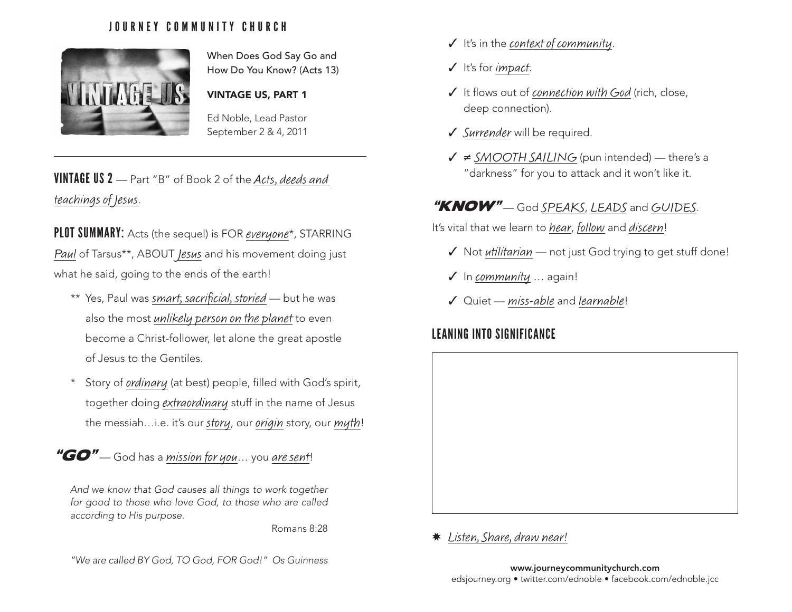#### JOURNEY COMMUNITY CHURCH



When Does God Say Go and How Do You Know? (Acts 13)

VINTAGE US, PART 1

Ed Noble, Lead Pastor September 2 & 4, 2011

# VINTAGE US 2 — Part "B" of Book 2 of the Acts, deeds and teachings of Jesus.

PLOT SUMMARY: Acts (the sequel) is FOR everyone\*, STARRING Paul of Tarsus\*\*, ABOUT Jesus and his movement doing just what he said, going to the ends of the earth!

- \*\* Yes, Paul was smart, sacrificial, storied but he was also the most unlikely person on the planet to even become a Christ-follower, let alone the great apostle of Jesus to the Gentiles.
- \* Story of ordinary (at best) people, filled with God's spirit, together doing extraordinary stuff in the name of Jesus the messiah...i.e. it's our story, our origin story, our myth!

" $GO"$  - God has a mission for you... you are sent!

*And we know that God causes all things to work together for good to those who love God, to those who are called according to His purpose.*

Romans 8:28

*"We are called BY God, TO God, FOR God!" Os Guinness* www.journeycommunitychurch.com

- $J$  It's in the context of community.
- $J$  It's for *impact*.
- $J$  It flows out of *connection with God* (rich, close, deep connection).
- Surrender will be required.
- $\sqrt{\neq}$  SMOOTH SAILING (pun intended) there's a "darkness" for you to attack and it won't like it.

## "KNOW" - God SPEAKS, LEADS and GUIDES.

It's vital that we learn to hear, follow and discern!

- $\checkmark$  Not utilitarian not just God trying to get stuff done!
- $J$  In community  $\ldots$  again!
- $J$  Quiet miss-able and learnable!

## LEANING INTO SIGNIFICANCE



\* Listen, Share, draw near!